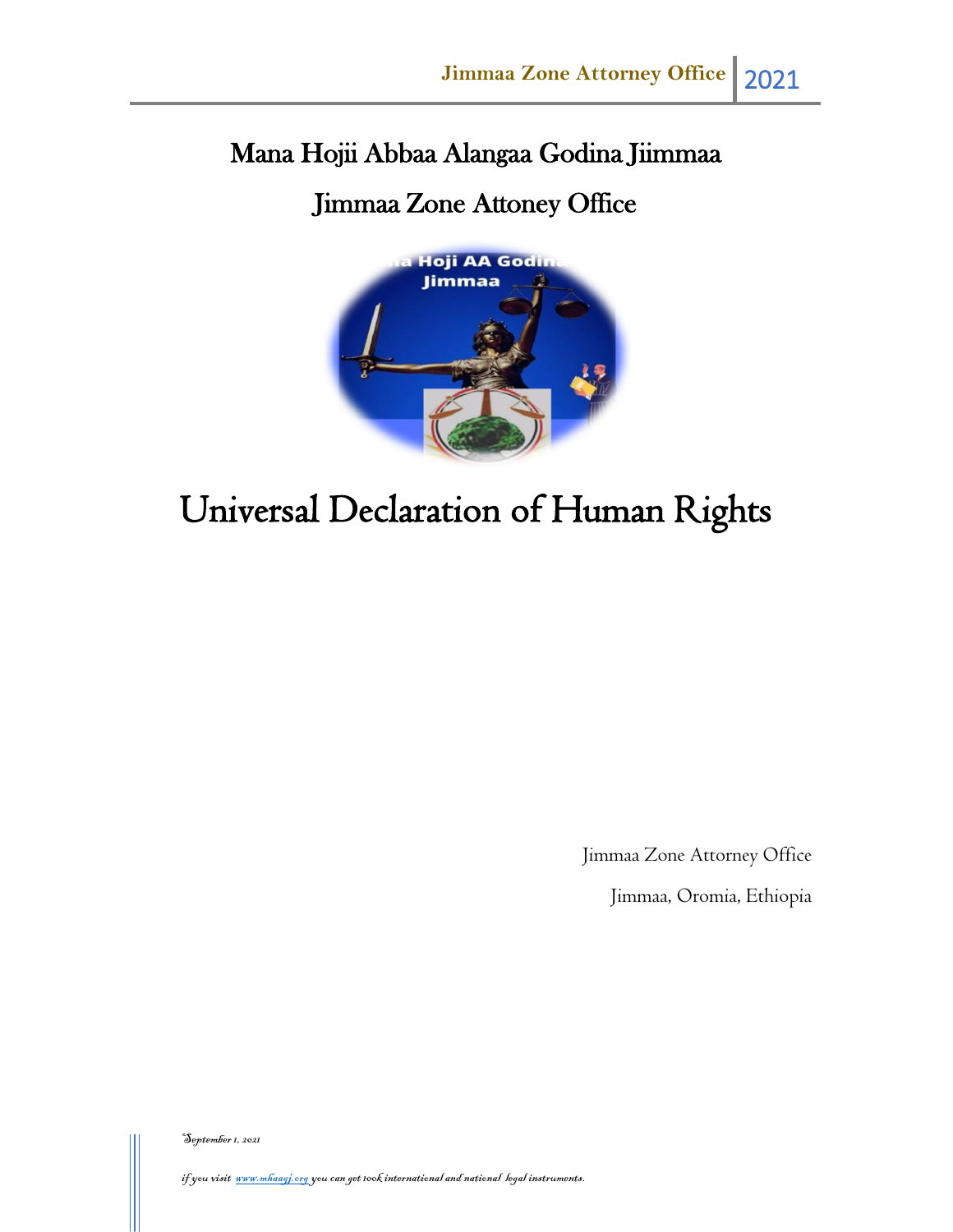# Mana Hojii Abbaa Alangaa Godina Jiimmaa

# Jimmaa Zone Attoney Office



# Universal Declaration of Human Rights

Jimmaa Zone Attorney Office

Jimmaa, Oromia, Ethiopia

September 1, 2021

if you visit www.mhaagj.org you can get 100k international and national legal instruments.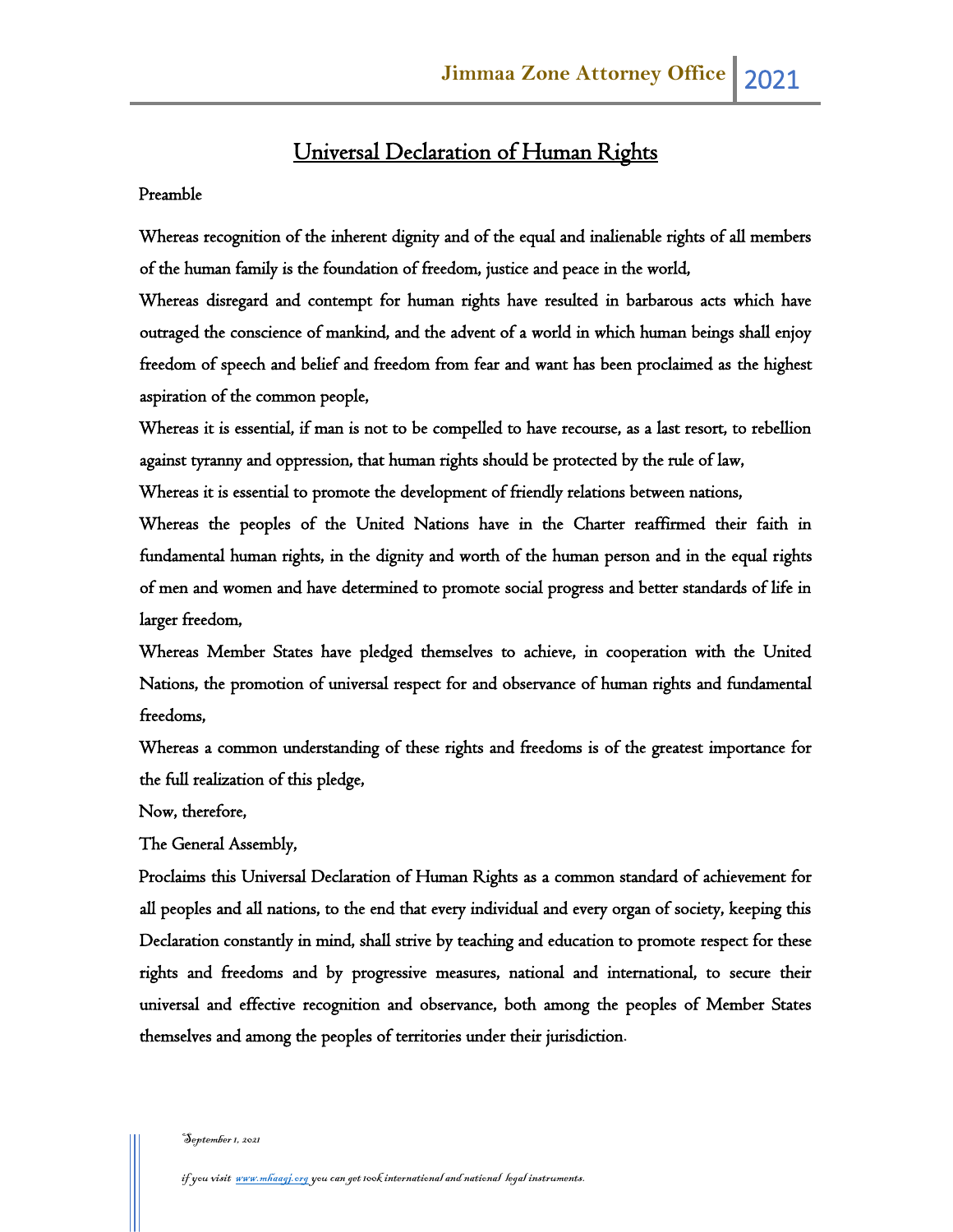# Universal Declaration of Human Rights

#### Preamble

Whereas recognition of the inherent dignity and of the equal and inalienable rights of all members of the human family is the foundation of freedom, justice and peace in the world,

Whereas disregard and contempt for human rights have resulted in barbarous acts which have outraged the conscience of mankind, and the advent of a world in which human beings shall enjoy freedom of speech and belief and freedom from fear and want has been proclaimed as the highest aspiration of the common people,

Whereas it is essential, if man is not to be compelled to have recourse, as a last resort, to rebellion against tyranny and oppression, that human rights should be protected by the rule of law,

Whereas it is essential to promote the development of friendly relations between nations,

Whereas the peoples of the United Nations have in the Charter reaffirmed their faith in fundamental human rights, in the dignity and worth of the human person and in the equal rights of men and women and have determined to promote social progress and better standards of life in larger freedom,

Whereas Member States have pledged themselves to achieve, in cooperation with the United Nations, the promotion of universal respect for and observance of human rights and fundamental freedoms,

Whereas a common understanding of these rights and freedoms is of the greatest importance for the full realization of this pledge,

Now, therefore,

The General Assembly,

Proclaims this Universal Declaration of Human Rights as a common standard of achievement for all peoples and all nations, to the end that every individual and every organ of society, keeping this Declaration constantly in mind, shall strive by teaching and education to promote respect for these rights and freedoms and by progressive measures, national and international, to secure their universal and effective recognition and observance, both among the peoples of Member States themselves and among the peoples of territories under their jurisdiction.

#### -<br>September 1, 2021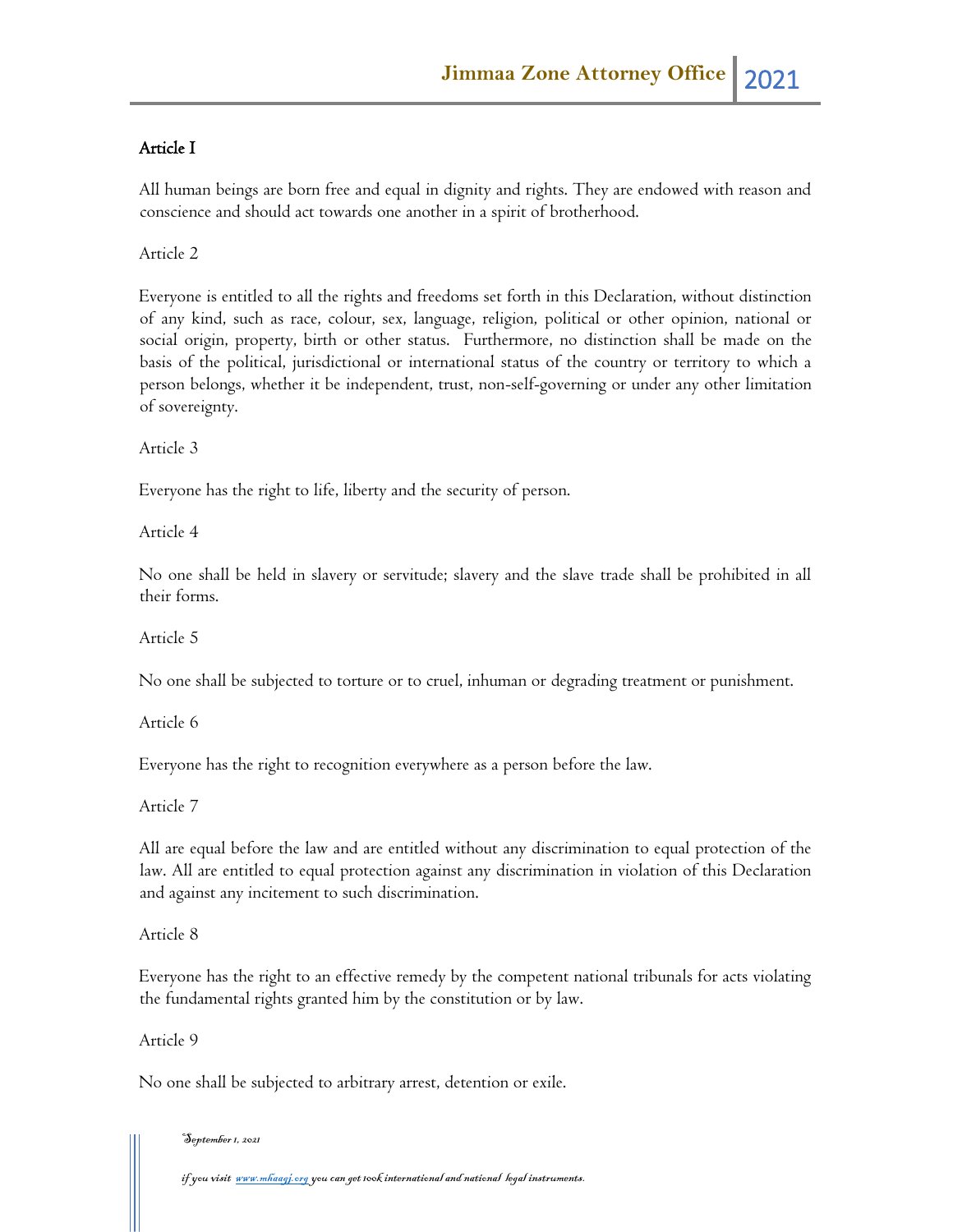## Article I

All human beings are born free and equal in dignity and rights. They are endowed with reason and conscience and should act towards one another in a spirit of brotherhood.

Article 2

Everyone is entitled to all the rights and freedoms set forth in this Declaration, without distinction of any kind, such as race, colour, sex, language, religion, political or other opinion, national or social origin, property, birth or other status. Furthermore, no distinction shall be made on the basis of the political, jurisdictional or international status of the country or territory to which a person belongs, whether it be independent, trust, non-self-governing or under any other limitation of sovereignty.

Article 3

Everyone has the right to life, liberty and the security of person.

Article 4

No one shall be held in slavery or servitude; slavery and the slave trade shall be prohibited in all their forms.

Article 5

No one shall be subjected to torture or to cruel, inhuman or degrading treatment or punishment.

Article 6

Everyone has the right to recognition everywhere as a person before the law.

Article 7

All are equal before the law and are entitled without any discrimination to equal protection of the law. All are entitled to equal protection against any discrimination in violation of this Declaration and against any incitement to such discrimination.

Article 8

Everyone has the right to an effective remedy by the competent national tribunals for acts violating the fundamental rights granted him by the constitution or by law.

Article 9

No one shall be subjected to arbitrary arrest, detention or exile.

#### September 1, 2021

if you visit <u>www.mhaagj.org</u> you can get 100k international and national legal instruments.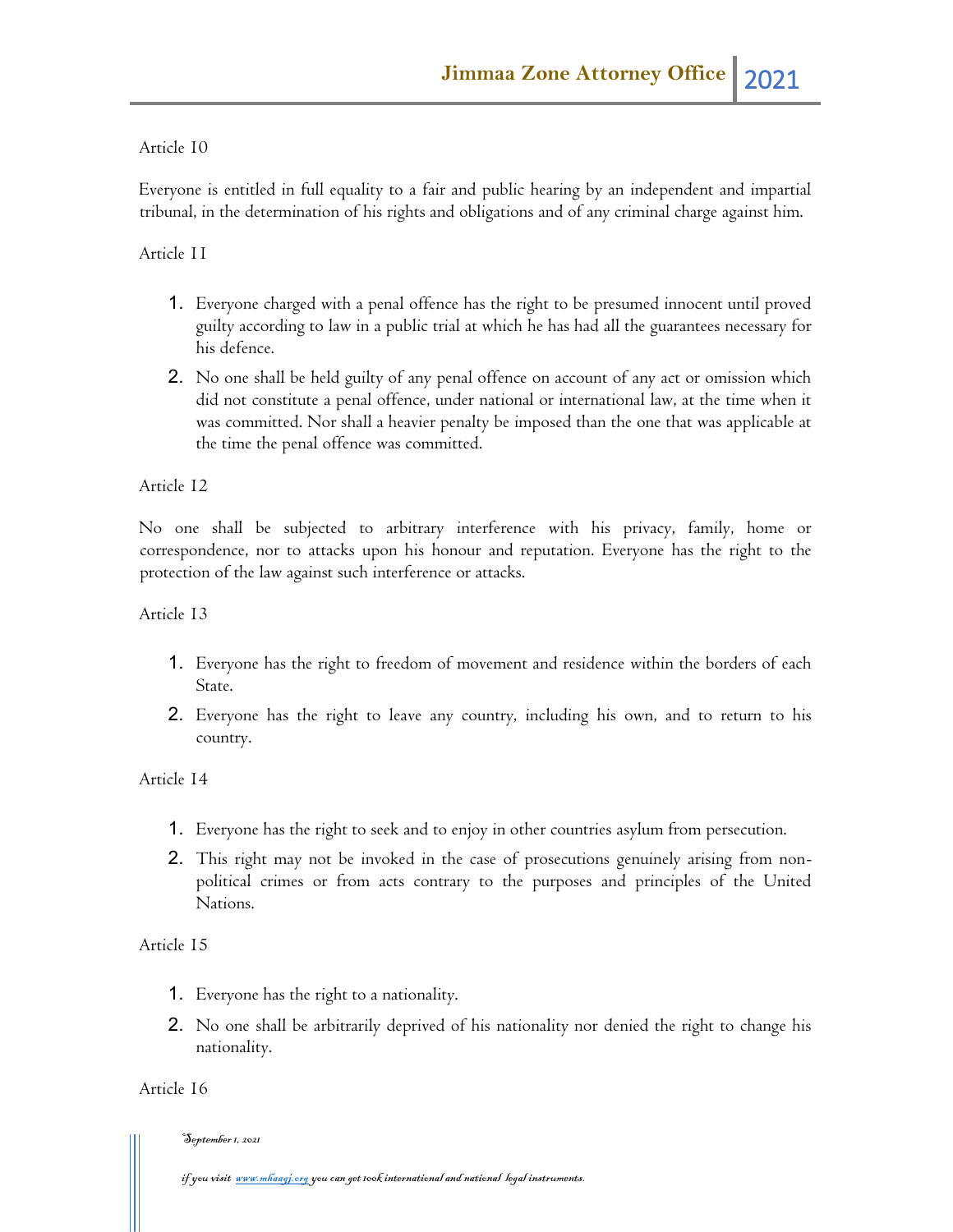#### Article 10

Everyone is entitled in full equality to a fair and public hearing by an independent and impartial tribunal, in the determination of his rights and obligations and of any criminal charge against him.

#### Article 11

- 1. Everyone charged with a penal offence has the right to be presumed innocent until proved guilty according to law in a public trial at which he has had all the guarantees necessary for his defence.
- 2. No one shall be held guilty of any penal offence on account of any act or omission which did not constitute a penal offence, under national or international law, at the time when it was committed. Nor shall a heavier penalty be imposed than the one that was applicable at the time the penal offence was committed.

#### Article 12

No one shall be subjected to arbitrary interference with his privacy, family, home or correspondence, nor to attacks upon his honour and reputation. Everyone has the right to the protection of the law against such interference or attacks.

#### Article 13

- 1. Everyone has the right to freedom of movement and residence within the borders of each State.
- 2. Everyone has the right to leave any country, including his own, and to return to his country.

#### Article 14

- 1. Everyone has the right to seek and to enjoy in other countries asylum from persecution.
- 2. This right may not be invoked in the case of prosecutions genuinely arising from nonpolitical crimes or from acts contrary to the purposes and principles of the United Nations.

#### Article 15

- 1. Everyone has the right to a nationality.
- 2. No one shall be arbitrarily deprived of his nationality nor denied the right to change his nationality.

#### Article 16

#### September 1, 2021

if you visit <u>www.mhaagj.org</u> you can get 100k international and national legal instruments.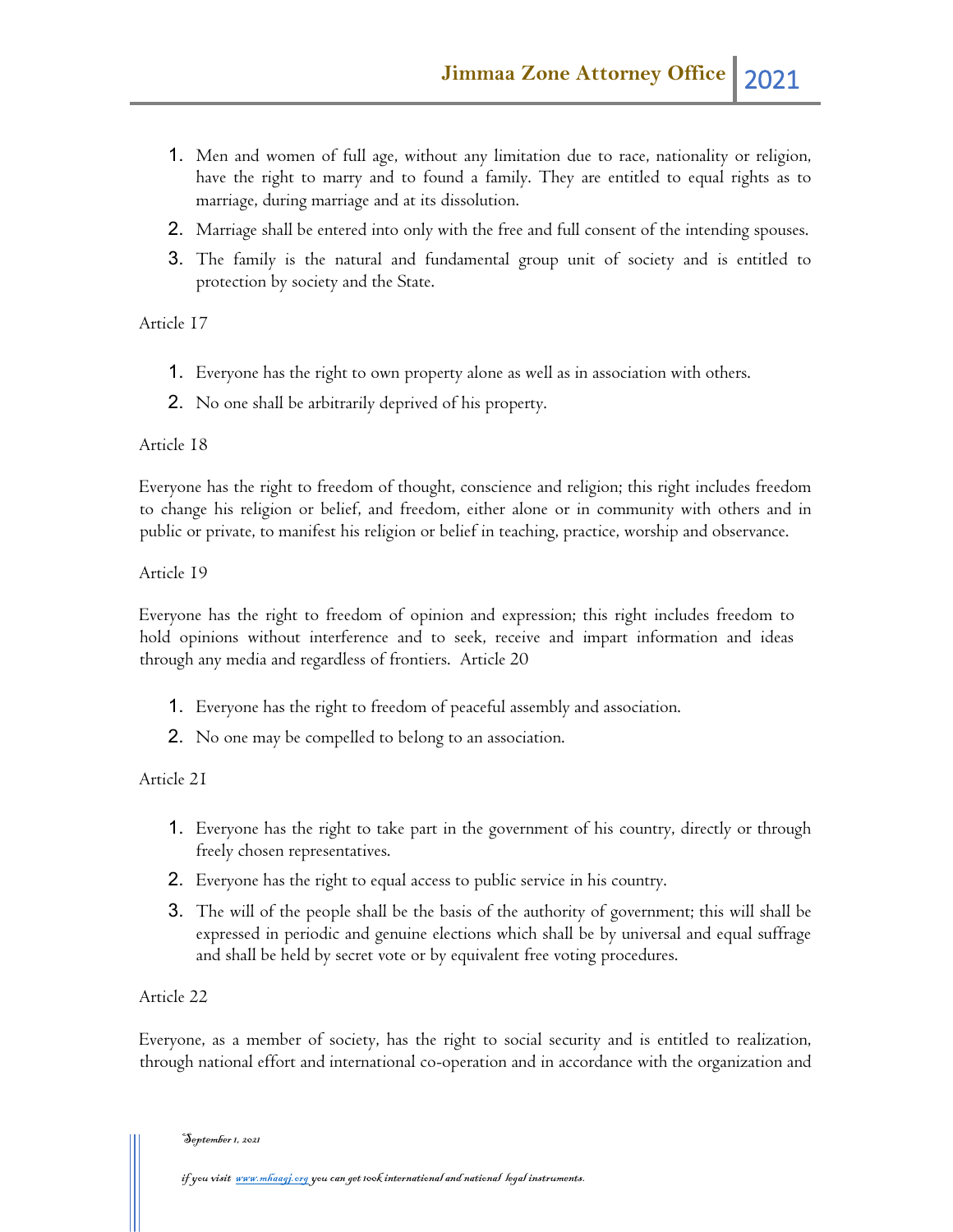- 1. Men and women of full age, without any limitation due to race, nationality or religion, have the right to marry and to found a family. They are entitled to equal rights as to marriage, during marriage and at its dissolution.
- 2. Marriage shall be entered into only with the free and full consent of the intending spouses.
- 3. The family is the natural and fundamental group unit of society and is entitled to protection by society and the State.

Article 17

- 1. Everyone has the right to own property alone as well as in association with others.
- 2. No one shall be arbitrarily deprived of his property.

## Article 18

Everyone has the right to freedom of thought, conscience and religion; this right includes freedom to change his religion or belief, and freedom, either alone or in community with others and in public or private, to manifest his religion or belief in teaching, practice, worship and observance.

Article 19

Everyone has the right to freedom of opinion and expression; this right includes freedom to hold opinions without interference and to seek, receive and impart information and ideas through any media and regardless of frontiers. Article 20

- 1. Everyone has the right to freedom of peaceful assembly and association.
- 2. No one may be compelled to belong to an association.

## Article 21

- 1. Everyone has the right to take part in the government of his country, directly or through freely chosen representatives.
- 2. Everyone has the right to equal access to public service in his country.
- 3. The will of the people shall be the basis of the authority of government; this will shall be expressed in periodic and genuine elections which shall be by universal and equal suffrage and shall be held by secret vote or by equivalent free voting procedures.

## Article 22

Everyone, as a member of society, has the right to social security and is entitled to realization, through national effort and international co-operation and in accordance with the organization and

September 1, 2021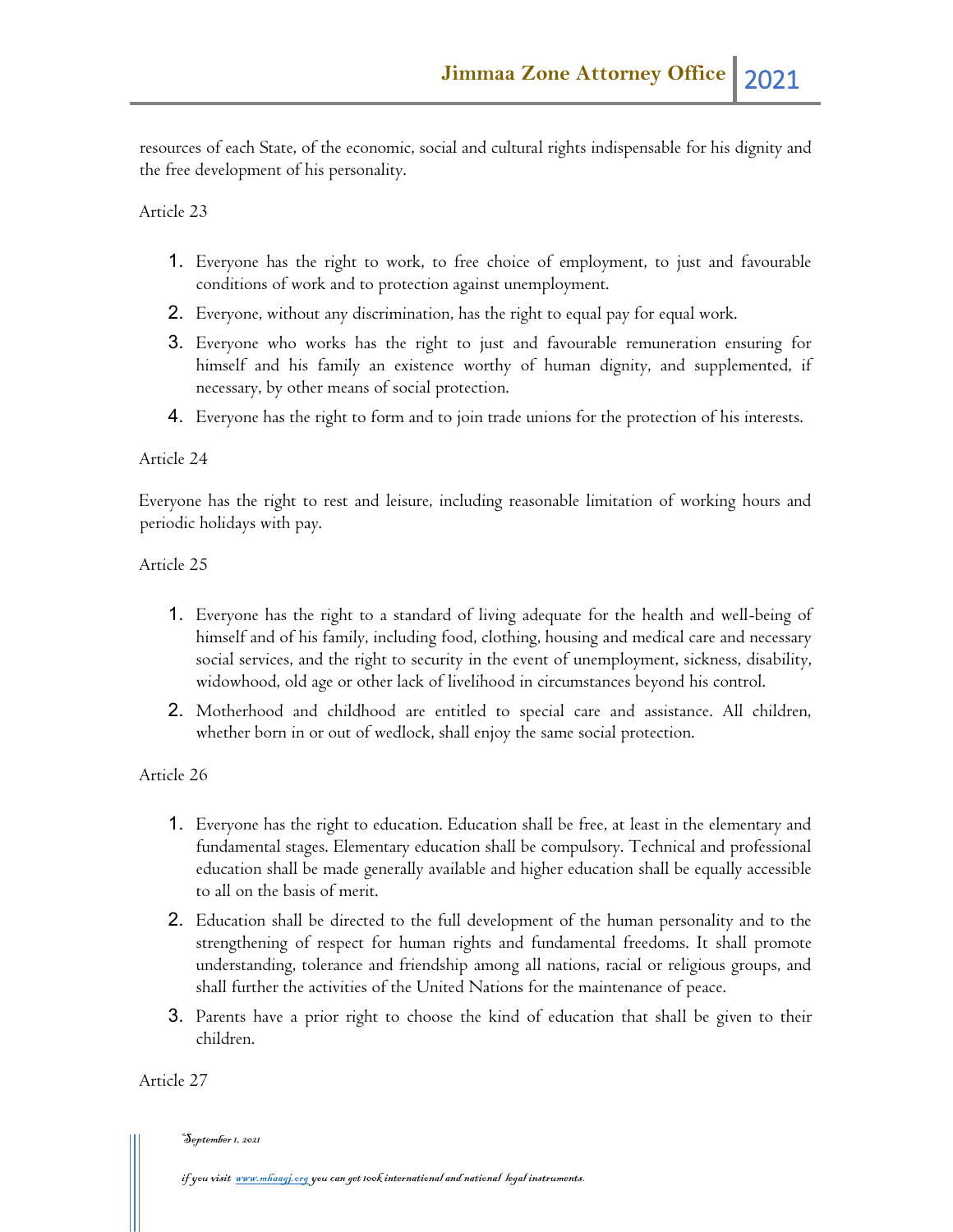resources of each State, of the economic, social and cultural rights indispensable for his dignity and the free development of his personality.

#### Article 23

- 1. Everyone has the right to work, to free choice of employment, to just and favourable conditions of work and to protection against unemployment.
- 2. Everyone, without any discrimination, has the right to equal pay for equal work.
- 3. Everyone who works has the right to just and favourable remuneration ensuring for himself and his family an existence worthy of human dignity, and supplemented, if necessary, by other means of social protection.
- 4. Everyone has the right to form and to join trade unions for the protection of his interests.

#### Article 24

Everyone has the right to rest and leisure, including reasonable limitation of working hours and periodic holidays with pay.

#### Article 25

- 1. Everyone has the right to a standard of living adequate for the health and well-being of himself and of his family, including food, clothing, housing and medical care and necessary social services, and the right to security in the event of unemployment, sickness, disability, widowhood, old age or other lack of livelihood in circumstances beyond his control.
- 2. Motherhood and childhood are entitled to special care and assistance. All children, whether born in or out of wedlock, shall enjoy the same social protection.

#### Article 26

- 1. Everyone has the right to education. Education shall be free, at least in the elementary and fundamental stages. Elementary education shall be compulsory. Technical and professional education shall be made generally available and higher education shall be equally accessible to all on the basis of merit.
- 2. Education shall be directed to the full development of the human personality and to the strengthening of respect for human rights and fundamental freedoms. It shall promote understanding, tolerance and friendship among all nations, racial or religious groups, and shall further the activities of the United Nations for the maintenance of peace.
- 3. Parents have a prior right to choose the kind of education that shall be given to their children.

Article 27

#### September 1, 2021